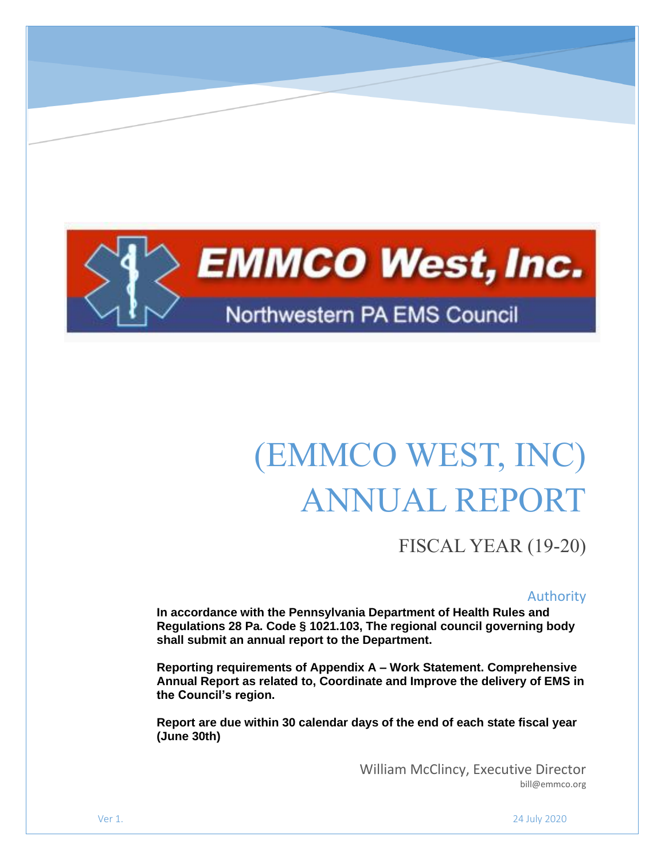

# (EMMCO WEST, INC) ANNUAL REPORT

FISCAL YEAR (19-20)

#### Authority

**In accordance with the Pennsylvania Department of Health Rules and Regulations 28 Pa. Code § 1021.103, The regional council governing body shall submit an annual report to the Department.**

**Reporting requirements of Appendix A – Work Statement. Comprehensive Annual Report as related to, Coordinate and Improve the delivery of EMS in the Council's region.**

**Report are due within 30 calendar days of the end of each state fiscal year (June 30th)**

> William McClincy, Executive Director bill@emmco.org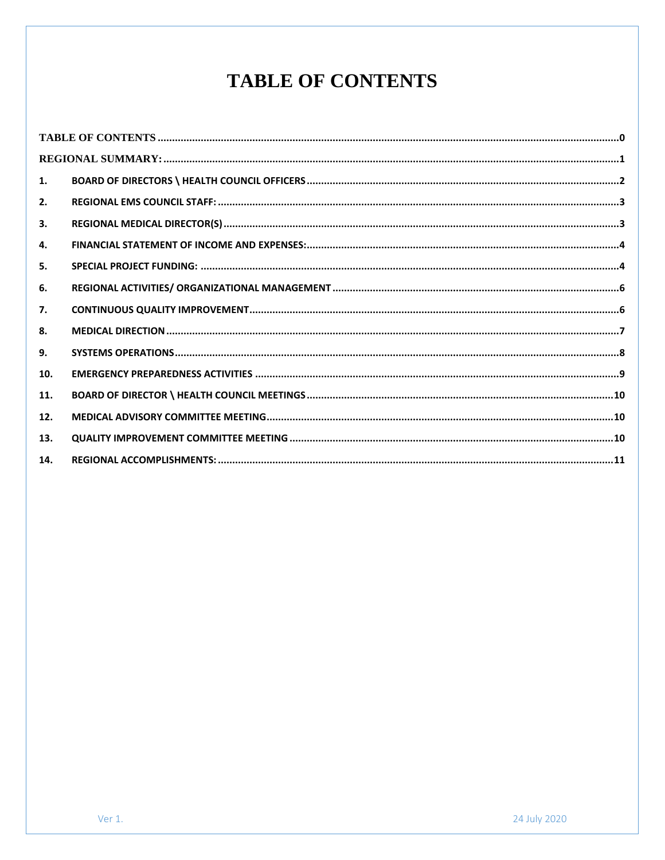# **TABLE OF CONTENTS**

<span id="page-1-0"></span>

| 1.  |  |
|-----|--|
| 2.  |  |
| 3.  |  |
| 4.  |  |
| 5.  |  |
| 6.  |  |
| 7.  |  |
| 8.  |  |
| 9.  |  |
| 10. |  |
| 11. |  |
| 12. |  |
| 13. |  |
| 14. |  |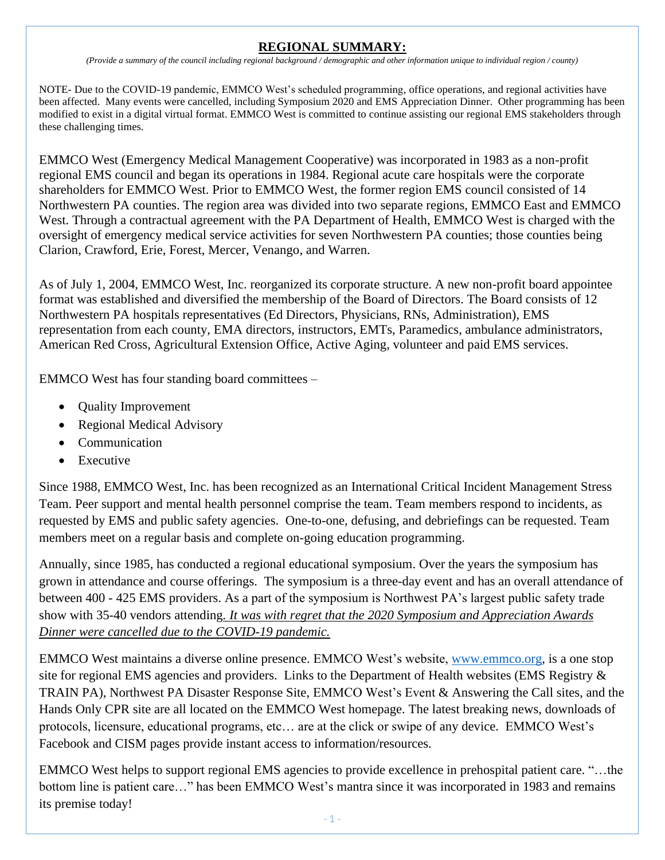## **REGIONAL SUMMARY:**

*(Provide a summary of the council including regional background / demographic and other information unique to individual region / county)*

<span id="page-2-0"></span>NOTE- Due to the COVID-19 pandemic, EMMCO West's scheduled programming, office operations, and regional activities have been affected. Many events were cancelled, including Symposium 2020 and EMS Appreciation Dinner. Other programming has been modified to exist in a digital virtual format. EMMCO West is committed to continue assisting our regional EMS stakeholders through these challenging times.

EMMCO West (Emergency Medical Management Cooperative) was incorporated in 1983 as a non-profit regional EMS council and began its operations in 1984. Regional acute care hospitals were the corporate shareholders for EMMCO West. Prior to EMMCO West, the former region EMS council consisted of 14 Northwestern PA counties. The region area was divided into two separate regions, EMMCO East and EMMCO West. Through a contractual agreement with the PA Department of Health, EMMCO West is charged with the oversight of emergency medical service activities for seven Northwestern PA counties; those counties being Clarion, Crawford, Erie, Forest, Mercer, Venango, and Warren.

As of July 1, 2004, EMMCO West, Inc. reorganized its corporate structure. A new non-profit board appointee format was established and diversified the membership of the Board of Directors. The Board consists of 12 Northwestern PA hospitals representatives (Ed Directors, Physicians, RNs, Administration), EMS representation from each county, EMA directors, instructors, EMTs, Paramedics, ambulance administrators, American Red Cross, Agricultural Extension Office, Active Aging, volunteer and paid EMS services.

EMMCO West has four standing board committees –

- Quality Improvement
- Regional Medical Advisory
- Communication
- Executive

Since 1988, EMMCO West, Inc. has been recognized as an International Critical Incident Management Stress Team. Peer support and mental health personnel comprise the team. Team members respond to incidents, as requested by EMS and public safety agencies. One-to-one, defusing, and debriefings can be requested. Team members meet on a regular basis and complete on-going education programming.

Annually, since 1985, has conducted a regional educational symposium. Over the years the symposium has grown in attendance and course offerings. The symposium is a three-day event and has an overall attendance of between 400 - 425 EMS providers. As a part of the symposium is Northwest PA's largest public safety trade show with 35-40 vendors attending*. It was with regret that the 2020 Symposium and Appreciation Awards Dinner were cancelled due to the COVID-19 pandemic.*

EMMCO West maintains a diverse online presence. EMMCO West's website, [www.emmco.org,](https://wremspa.sharepoint.com/sites/emmcowest/Shared%20Documents/projects/2019%20Annual%20Report/www.emmco.org) is a one stop site for regional EMS agencies and providers. Links to the Department of Health websites (EMS Registry & TRAIN PA), Northwest PA Disaster Response Site, EMMCO West's Event & Answering the Call sites, and the Hands Only CPR site are all located on the EMMCO West homepage. The latest breaking news, downloads of protocols, licensure, educational programs, etc… are at the click or swipe of any device. EMMCO West's Facebook and CISM pages provide instant access to information/resources.

EMMCO West helps to support regional EMS agencies to provide excellence in prehospital patient care. "…the bottom line is patient care…" has been EMMCO West's mantra since it was incorporated in 1983 and remains its premise today!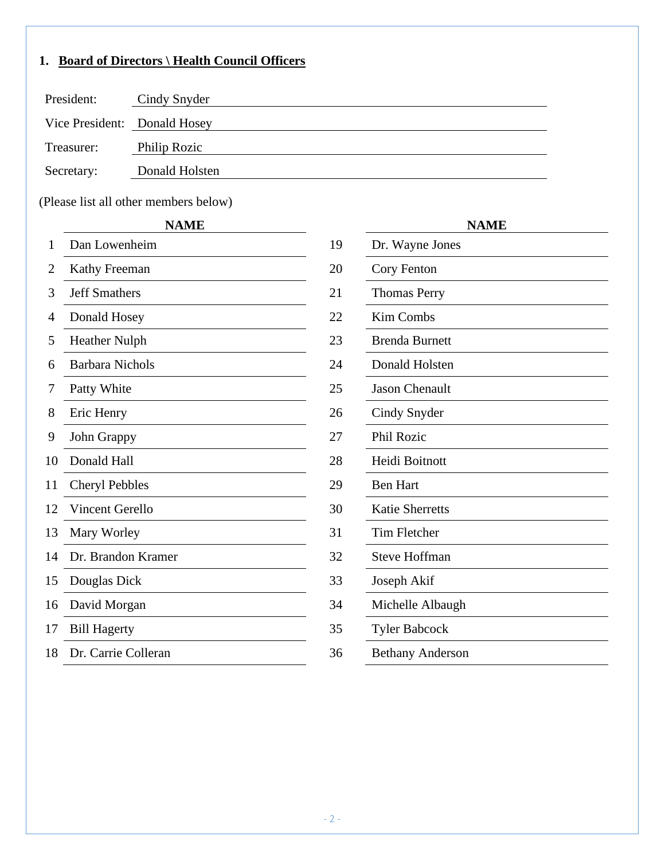# <span id="page-3-0"></span>**1. Board of Directors \ Health Council Officers**

| President:                   | Cindy Snyder   |
|------------------------------|----------------|
| Vice President: Donald Hosey |                |
| Treasurer:                   | Philip Rozic   |
| Secretary:                   | Donald Holsten |

(Please list all other members below)

#### **NAME NAME**

| 1  | Dan Lowenheim          | 19 | Dr. Wayne Jones         |
|----|------------------------|----|-------------------------|
| 2  | Kathy Freeman          | 20 | Cory Fenton             |
| 3  | <b>Jeff Smathers</b>   | 21 | <b>Thomas Perry</b>     |
| 4  | Donald Hosey           | 22 | <b>Kim Combs</b>        |
| 5  | <b>Heather Nulph</b>   | 23 | <b>Brenda Burnett</b>   |
| 6  | <b>Barbara Nichols</b> | 24 | Donald Holsten          |
| 7  | Patty White            | 25 | <b>Jason Chenault</b>   |
| 8  | Eric Henry             | 26 | Cindy Snyder            |
| 9  | John Grappy            | 27 | Phil Rozic              |
| 10 | Donald Hall            | 28 | Heidi Boitnott          |
| 11 | <b>Cheryl Pebbles</b>  | 29 | <b>Ben Hart</b>         |
| 12 | Vincent Gerello        | 30 | <b>Katie Sherretts</b>  |
| 13 | Mary Worley            | 31 | Tim Fletcher            |
| 14 | Dr. Brandon Kramer     | 32 | <b>Steve Hoffman</b>    |
| 15 | Douglas Dick           | 33 | Joseph Akif             |
| 16 | David Morgan           | 34 | Michelle Albaugh        |
| 17 | <b>Bill Hagerty</b>    | 35 | <b>Tyler Babcock</b>    |
| 18 | Dr. Carrie Colleran    | 36 | <b>Bethany Anderson</b> |
|    |                        |    |                         |

|                         | <b>NAME</b> |
|-------------------------|-------------|
| Dr. Wayne Jones         |             |
| Cory Fenton             |             |
| <b>Thomas Perry</b>     |             |
| Kim Combs               |             |
| <b>Brenda Burnett</b>   |             |
| Donald Holsten          |             |
| <b>Jason Chenault</b>   |             |
| Cindy Snyder            |             |
| Phil Rozic              |             |
| Heidi Boitnott          |             |
| <b>Ben Hart</b>         |             |
| <b>Katie Sherretts</b>  |             |
| <b>Tim Fletcher</b>     |             |
| <b>Steve Hoffman</b>    |             |
| Joseph Akif             |             |
| Michelle Albaugh        |             |
| <b>Tyler Babcock</b>    |             |
| <b>Bethany Anderson</b> |             |
|                         |             |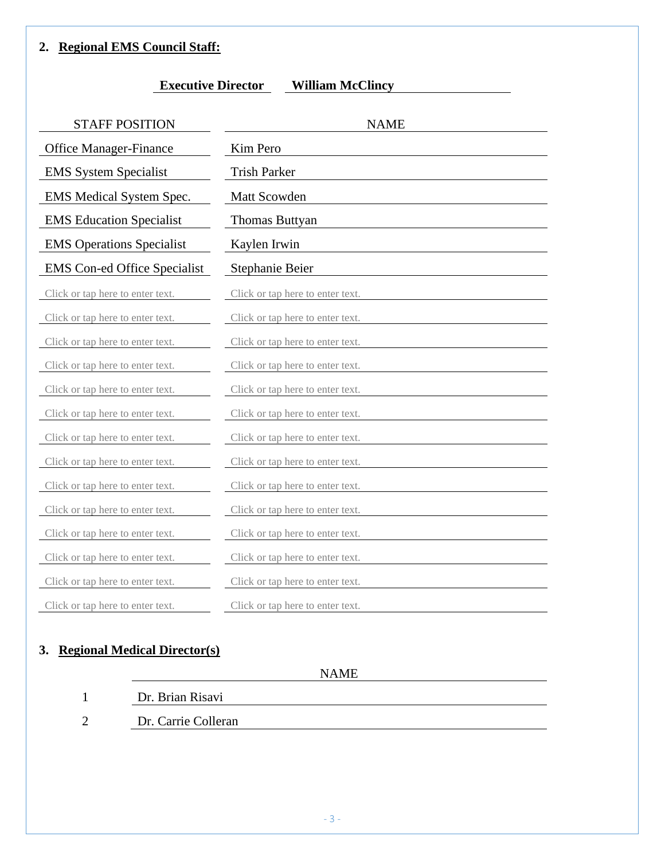## <span id="page-4-0"></span>**2. Regional EMS Council Staff:**

| <b>STAFF POSITION</b>               | <b>NAME</b>                      |
|-------------------------------------|----------------------------------|
| <b>Office Manager-Finance</b>       | Kim Pero                         |
| <b>EMS</b> System Specialist        | <b>Trish Parker</b>              |
| EMS Medical System Spec.            | Matt Scowden                     |
| <b>EMS</b> Education Specialist     | Thomas Buttyan                   |
| <b>EMS</b> Operations Specialist    | Kaylen Irwin                     |
| <b>EMS</b> Con-ed Office Specialist | Stephanie Beier                  |
| Click or tap here to enter text.    | Click or tap here to enter text. |
| Click or tap here to enter text.    | Click or tap here to enter text. |
| Click or tap here to enter text.    | Click or tap here to enter text. |
| Click or tap here to enter text.    | Click or tap here to enter text. |
| Click or tap here to enter text.    | Click or tap here to enter text. |
| Click or tap here to enter text.    | Click or tap here to enter text. |
| Click or tap here to enter text.    | Click or tap here to enter text. |
| Click or tap here to enter text.    | Click or tap here to enter text. |
| Click or tap here to enter text.    | Click or tap here to enter text. |
| Click or tap here to enter text.    | Click or tap here to enter text. |
| Click or tap here to enter text.    | Click or tap here to enter text. |
| Click or tap here to enter text.    | Click or tap here to enter text. |
| Click or tap here to enter text.    | Click or tap here to enter text. |
| Click or tap here to enter text.    | Click or tap here to enter text. |

# <span id="page-4-1"></span>**3. Regional Medical Director(s)**

NAME

- 1 Dr. Brian Risavi
- 2 Dr. Carrie Colleran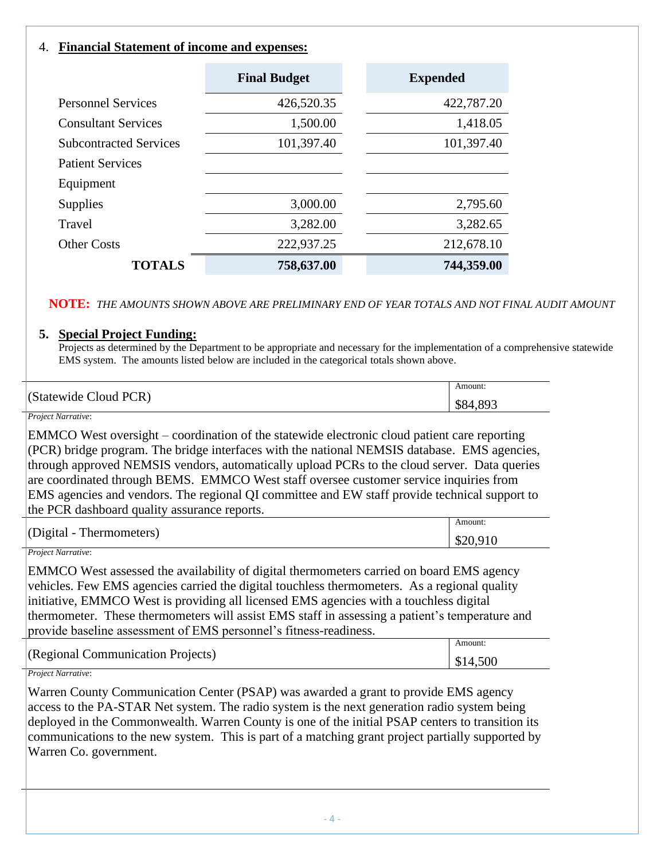## <span id="page-5-0"></span>4. **Financial Statement of income and expenses:**

|                               | <b>Final Budget</b> | <b>Expended</b> |
|-------------------------------|---------------------|-----------------|
| <b>Personnel Services</b>     | 426,520.35          | 422,787.20      |
| <b>Consultant Services</b>    | 1,500.00            | 1,418.05        |
| <b>Subcontracted Services</b> | 101,397.40          | 101,397.40      |
| <b>Patient Services</b>       |                     |                 |
| Equipment                     |                     |                 |
| <b>Supplies</b>               | 3,000.00            | 2,795.60        |
| Travel                        | 3,282.00            | 3,282.65        |
| <b>Other Costs</b>            | 222,937.25          | 212,678.10      |
| <b>TOTALS</b>                 | 758,637.00          | 744,359.00      |

#### **NOTE:** *THE AMOUNTS SHOWN ABOVE ARE PRELIMINARY END OF YEAR TOTALS AND NOT FINAL AUDIT AMOUNT*

#### <span id="page-5-1"></span>**5. Special Project Funding:**

Projects as determined by the Department to be appropriate and necessary for the implementation of a comprehensive statewide EMS system. The amounts listed below are included in the categorical totals shown above.

|                       | Amount:      |
|-----------------------|--------------|
| (Statewide Cloud PCR) | 893<br>.DO4. |

#### *Project Narrative*:

EMMCO West oversight – coordination of the statewide electronic cloud patient care reporting  $(PCR)$  bridge program. The bridge interfaces with the national NEMSIS database. EMS agencies, through approved NEMSIS vendors, automatically upload PCRs to the cloud server. Data queries are coordinated through BEMS. EMMCO West staff oversee customer service inquiries from EMS agencies and vendors. The regional QI committee and EW staff provide technical support to the PCR dashboard quality assurance reports.

| m1                                         |  | Amount:  |
|--------------------------------------------|--|----------|
| $[Oigital -$ <sup>'</sup><br>Thermometers) |  | \$20,910 |

#### *Project Narrative*:

EMMCO West assessed the availability of digital thermometers carried on board EMS agency vehicles. Few EMS agencies carried the digital touchless thermometers. As a regional quality initiative, EMMCO West is providing all licensed EMS agencies with a touchless digital thermometer. These thermometers will assist EMS staff in assessing a patient's temperature and provide baseline assessment of EMS personnel's fitness-readiness.

|                                   | \mount |
|-----------------------------------|--------|
| (Regional Communication Projects) | 500    |
|                                   |        |

#### *Project Narrative*:

Warren County Communication Center (PSAP) was awarded a grant to provide EMS agency access to the PA-STAR Net system. The radio system is the next generation radio system being deployed in the Commonwealth. Warren County is one of the initial PSAP centers to transition its communications to the new system. This is part of a matching grant project partially supported by Warren Co. government.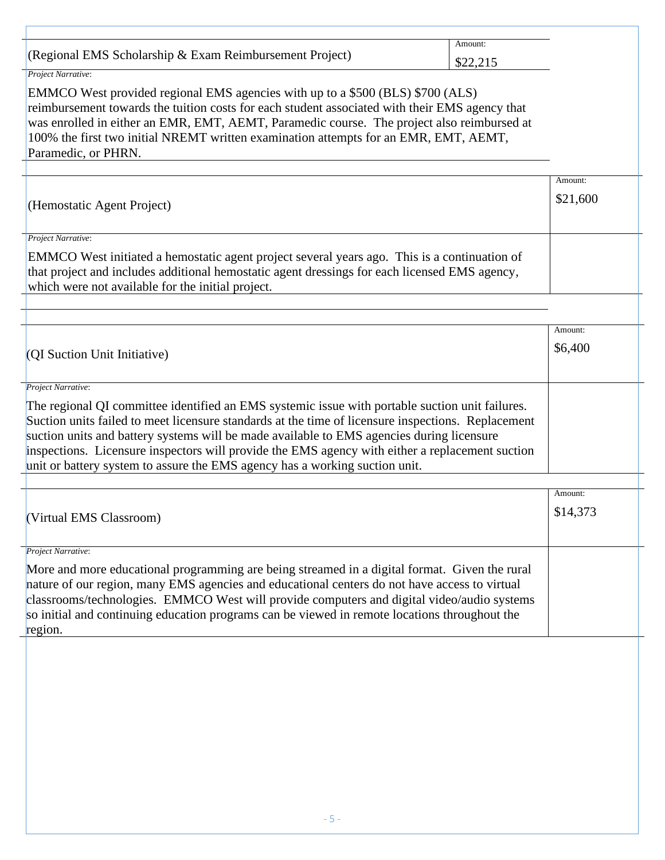|                                                           | \mount |
|-----------------------------------------------------------|--------|
| $(Regional EMS Scholarship & Exam Reimbursement Project)$ |        |
| $\mathbf{r}$ $\mathbf{r}$                                 |        |

*Project Narrative*:

EMMCO West provided regional EMS agencies with up to a \$500 (BLS) \$700 (ALS) reimbursement towards the tuition costs for each student associated with their EMS agency that was enrolled in either an EMR, EMT, AEMT, Paramedic course. The project also reimbursed at 100% the first two initial NREMT written examination attempts for an EMR, EMT, AEMT, Paramedic, or PHRN.

|                                                                                                                                                                                                                                                    | Amount:  |  |
|----------------------------------------------------------------------------------------------------------------------------------------------------------------------------------------------------------------------------------------------------|----------|--|
| (Hemostatic Agent Project)                                                                                                                                                                                                                         | \$21,600 |  |
|                                                                                                                                                                                                                                                    |          |  |
| Project Narrative:                                                                                                                                                                                                                                 |          |  |
| EMMCO West initiated a hemostatic agent project several years ago. This is a continuation of<br>that project and includes additional hemostatic agent dressings for each licensed EMS agency,<br>which were not available for the initial project. |          |  |
|                                                                                                                                                                                                                                                    |          |  |
|                                                                                                                                                                                                                                                    | Amount:  |  |
| (QI Suction Unit Initiative)                                                                                                                                                                                                                       | \$6,400  |  |
|                                                                                                                                                                                                                                                    |          |  |
| Project Narrative:                                                                                                                                                                                                                                 |          |  |
| The regional QI committee identified an EMS systemic issue with portable suction unit failures.                                                                                                                                                    |          |  |
| Suction units failed to meet licensure standards at the time of licensure inspections. Replacement                                                                                                                                                 |          |  |
| suction units and battery systems will be made available to EMS agencies during licensure                                                                                                                                                          |          |  |
| inspections. Licensure inspectors will provide the EMS agency with either a replacement suction                                                                                                                                                    |          |  |
| unit or battery system to assure the EMS agency has a working suction unit.                                                                                                                                                                        |          |  |
|                                                                                                                                                                                                                                                    | Amount:  |  |
|                                                                                                                                                                                                                                                    | \$14,373 |  |
| (Virtual EMS Classroom)                                                                                                                                                                                                                            |          |  |
|                                                                                                                                                                                                                                                    |          |  |
| Project Narrative:                                                                                                                                                                                                                                 |          |  |
| More and more educational programming are being streamed in a digital format. Given the rural                                                                                                                                                      |          |  |
| nature of our region, many EMS agencies and educational centers do not have access to virtual                                                                                                                                                      |          |  |
| classrooms/technologies. EMMCO West will provide computers and digital video/audio systems                                                                                                                                                         |          |  |
| so initial and continuing education programs can be viewed in remote locations throughout the                                                                                                                                                      |          |  |
| region.                                                                                                                                                                                                                                            |          |  |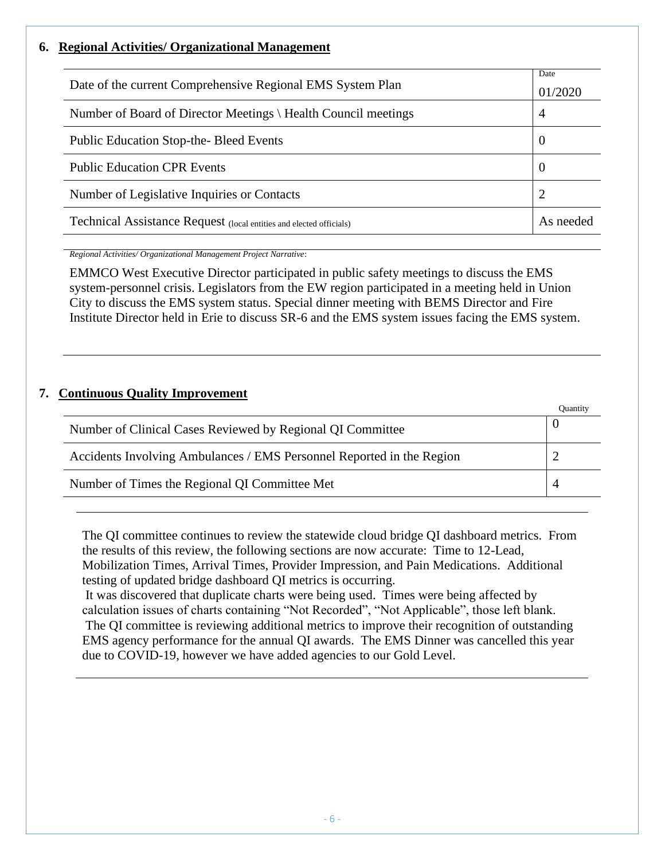## <span id="page-7-0"></span>**6. Regional Activities/ Organizational Management**

| Date of the current Comprehensive Regional EMS System Plan          |   |  |
|---------------------------------------------------------------------|---|--|
| Number of Board of Director Meetings \ Health Council meetings      | 4 |  |
| <b>Public Education Stop-the-Bleed Events</b>                       |   |  |
| <b>Public Education CPR Events</b>                                  |   |  |
| Number of Legislative Inquiries or Contacts                         |   |  |
| Technical Assistance Request (local entities and elected officials) |   |  |

*Regional Activities/ Organizational Management Project Narrative*:

EMMCO West Executive Director participated in public safety meetings to discuss the EMS system-personnel crisis. Legislators from the EW region participated in a meeting held in Union City to discuss the EMS system status. Special dinner meeting with BEMS Director and Fire Institute Director held in Erie to discuss SR-6 and the EMS system issues facing the EMS system.

## <span id="page-7-1"></span>**7. Continuous Quality Improvement**

|                                                                       | Ouantity |
|-----------------------------------------------------------------------|----------|
| Number of Clinical Cases Reviewed by Regional QI Committee            |          |
| Accidents Involving Ambulances / EMS Personnel Reported in the Region |          |
| Number of Times the Regional QI Committee Met                         |          |

The QI committee continues to review the statewide cloud bridge QI dashboard metrics. From the results of this review, the following sections are now accurate: Time to 12-Lead, Mobilization Times, Arrival Times, Provider Impression, and Pain Medications. Additional testing of updated bridge dashboard QI metrics is occurring.

It was discovered that duplicate charts were being used. Times were being affected by calculation issues of charts containing "Not Recorded", "Not Applicable", those left blank. The QI committee is reviewing additional metrics to improve their recognition of outstanding EMS agency performance for the annual QI awards. The EMS Dinner was cancelled this year due to COVID-19, however we have added agencies to our Gold Level.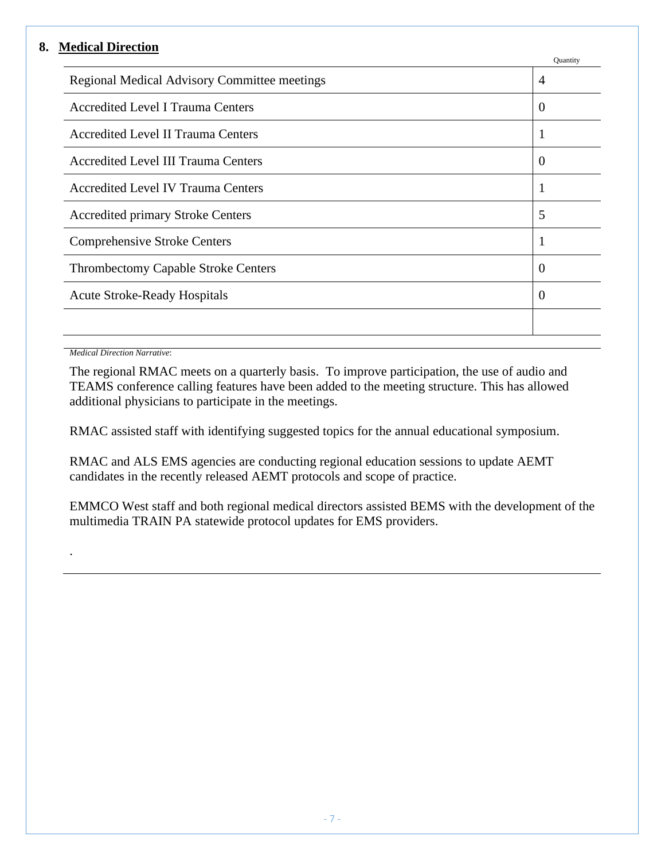#### <span id="page-8-0"></span>**8. Medical Direction**

|                                              | Quantity       |
|----------------------------------------------|----------------|
| Regional Medical Advisory Committee meetings | $\overline{4}$ |
| <b>Accredited Level I Trauma Centers</b>     | $\theta$       |
| <b>Accredited Level II Trauma Centers</b>    | 1              |
| <b>Accredited Level III Trauma Centers</b>   | $\theta$       |
| <b>Accredited Level IV Trauma Centers</b>    |                |
| <b>Accredited primary Stroke Centers</b>     | 5              |
| <b>Comprehensive Stroke Centers</b>          |                |
| <b>Thrombectomy Capable Stroke Centers</b>   | $\theta$       |
| <b>Acute Stroke-Ready Hospitals</b>          | $\Omega$       |
|                                              |                |
|                                              |                |

*Medical Direction Narrative*:

.

The regional RMAC meets on a quarterly basis. To improve participation, the use of audio and TEAMS conference calling features have been added to the meeting structure. This has allowed additional physicians to participate in the meetings.

RMAC assisted staff with identifying suggested topics for the annual educational symposium.

RMAC and ALS EMS agencies are conducting regional education sessions to update AEMT candidates in the recently released AEMT protocols and scope of practice.

EMMCO West staff and both regional medical directors assisted BEMS with the development of the multimedia TRAIN PA statewide protocol updates for EMS providers.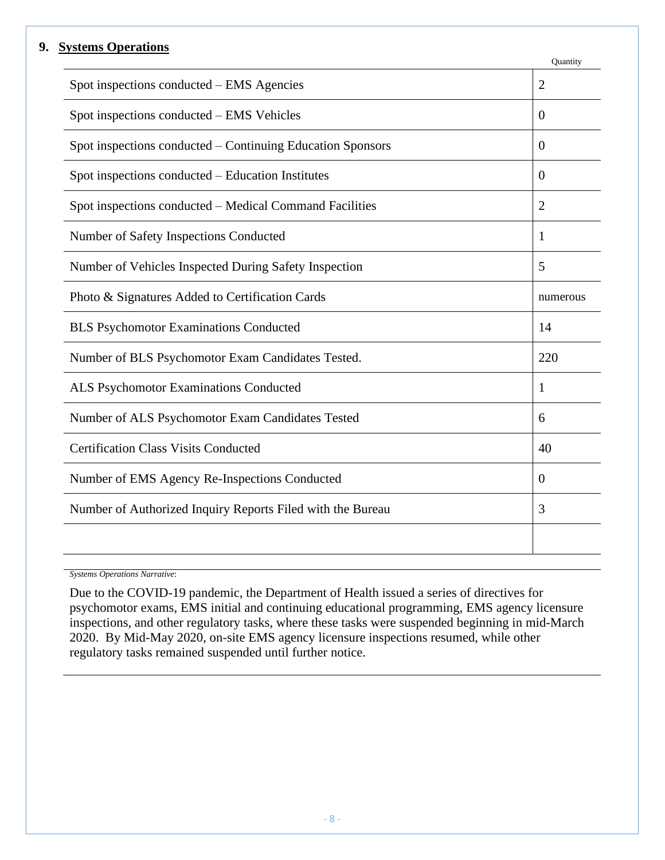#### <span id="page-9-0"></span>**9. Systems Operations**

|                                                            | Quantity       |  |
|------------------------------------------------------------|----------------|--|
| Spot inspections conducted – EMS Agencies                  | $\overline{2}$ |  |
| Spot inspections conducted – EMS Vehicles                  | $\theta$       |  |
| Spot inspections conducted - Continuing Education Sponsors |                |  |
| Spot inspections conducted – Education Institutes          | $\theta$       |  |
| Spot inspections conducted – Medical Command Facilities    | $\overline{2}$ |  |
| Number of Safety Inspections Conducted                     | 1              |  |
| Number of Vehicles Inspected During Safety Inspection      | 5              |  |
| Photo & Signatures Added to Certification Cards            |                |  |
| <b>BLS Psychomotor Examinations Conducted</b>              |                |  |
| Number of BLS Psychomotor Exam Candidates Tested.          | 220            |  |
| ALS Psychomotor Examinations Conducted                     | 1              |  |
| Number of ALS Psychomotor Exam Candidates Tested           | 6              |  |
| <b>Certification Class Visits Conducted</b>                |                |  |
| Number of EMS Agency Re-Inspections Conducted              |                |  |
| Number of Authorized Inquiry Reports Filed with the Bureau | 3              |  |
|                                                            |                |  |
|                                                            |                |  |

*Systems Operations Narrative*:

Due to the COVID-19 pandemic, the Department of Health issued a series of directives for psychomotor exams, EMS initial and continuing educational programming, EMS agency licensure inspections, and other regulatory tasks, where these tasks were suspended beginning in mid-March 2020. By Mid-May 2020, on-site EMS agency licensure inspections resumed, while other regulatory tasks remained suspended until further notice.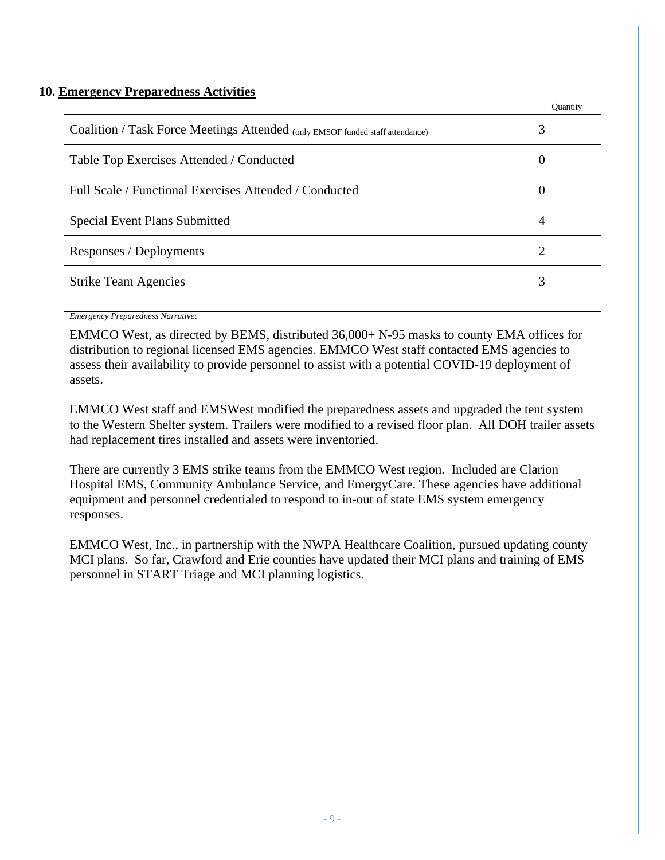## <span id="page-10-0"></span>**10. Emergency Preparedness Activities**

|                                                                               | Quantity       |
|-------------------------------------------------------------------------------|----------------|
| Coalition / Task Force Meetings Attended (only EMSOF funded staff attendance) | 3              |
| Table Top Exercises Attended / Conducted                                      | $\theta$       |
| Full Scale / Functional Exercises Attended / Conducted                        | $\theta$       |
| <b>Special Event Plans Submitted</b>                                          | 4              |
| Responses / Deployments                                                       | $\overline{2}$ |
| <b>Strike Team Agencies</b>                                                   | 3              |
|                                                                               |                |

*Emergency Preparedness Narrative*:

EMMCO West, as directed by BEMS, distributed 36,000+ N-95 masks to county EMA offices for distribution to regional licensed EMS agencies. EMMCO West staff contacted EMS agencies to assess their availability to provide personnel to assist with a potential COVID-19 deployment of assets.

EMMCO West staff and EMSWest modified the preparedness assets and upgraded the tent system to the Western Shelter system. Trailers were modified to a revised floor plan. All DOH trailer assets had replacement tires installed and assets were inventoried.

There are currently 3 EMS strike teams from the EMMCO West region. Included are Clarion Hospital EMS, Community Ambulance Service, and EmergyCare. These agencies have additional equipment and personnel credentialed to respond to in-out of state EMS system emergency responses.

EMMCO West, Inc., in partnership with the NWPA Healthcare Coalition, pursued updating county MCI plans. So far, Crawford and Erie counties have updated their MCI plans and training of EMS personnel in START Triage and MCI planning logistics.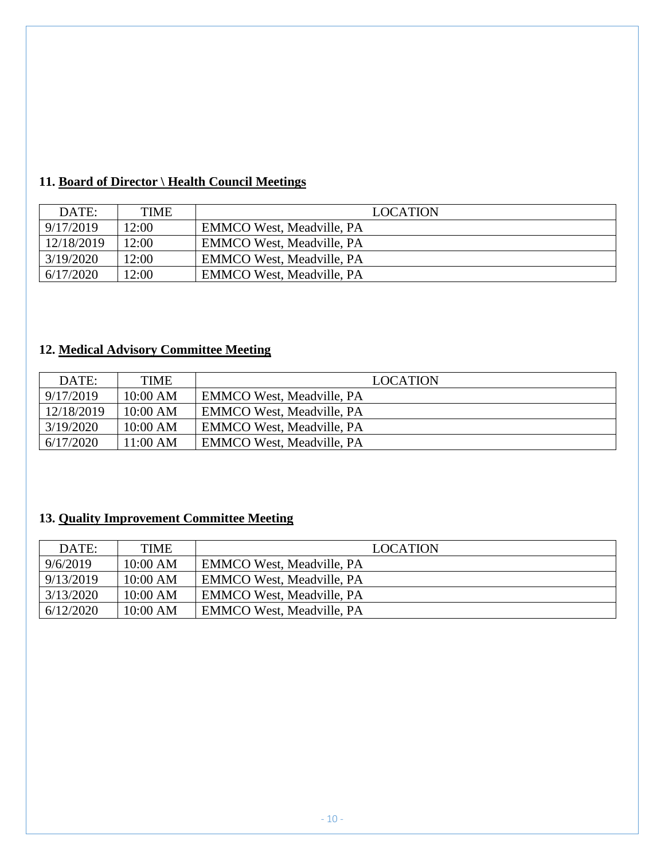# <span id="page-11-0"></span>**11. Board of Director \ Health Council Meetings**

| DATE:      | <b>TIME</b> | <b>LOCATION</b>                  |
|------------|-------------|----------------------------------|
| 9/17/2019  | 12:00       | <b>EMMCO West, Meadville, PA</b> |
| 12/18/2019 | 12:00       | <b>EMMCO West, Meadville, PA</b> |
| 3/19/2020  | 12:00       | <b>EMMCO West, Meadville, PA</b> |
| 6/17/2020  | 12:00       | <b>EMMCO West, Meadville, PA</b> |

# <span id="page-11-1"></span>**12. Medical Advisory Committee Meeting**

| DATE:      | <b>TIME</b> | <b>LOCATION</b>                  |
|------------|-------------|----------------------------------|
| 9/17/2019  | 10:00 AM    | <b>EMMCO West, Meadville, PA</b> |
| 12/18/2019 | 10:00 AM    | <b>EMMCO West, Meadville, PA</b> |
| 3/19/2020  | 10:00 AM    | <b>EMMCO West, Meadville, PA</b> |
| 6/17/2020  | 11:00 AM    | <b>EMMCO West, Meadville, PA</b> |

# <span id="page-11-2"></span>**13. Quality Improvement Committee Meeting**

| DATE:     | TIME       | <b>LOCATION</b>                  |
|-----------|------------|----------------------------------|
| 9/6/2019  | $10:00$ AM | <b>EMMCO West, Meadville, PA</b> |
| 9/13/2019 | 10:00 AM   | <b>EMMCO West, Meadville, PA</b> |
| 3/13/2020 | 10:00 AM   | <b>EMMCO West, Meadville, PA</b> |
| 6/12/2020 | $10:00$ AM | <b>EMMCO West, Meadville, PA</b> |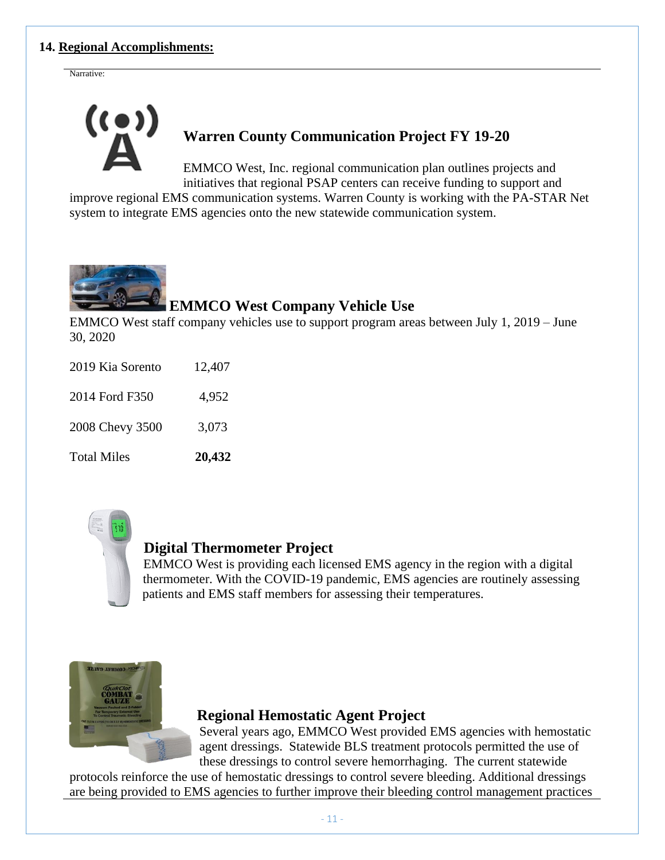## <span id="page-12-0"></span>**14. Regional Accomplishments:**

Narrative:



# **Warren County Communication Project FY 19-20**

EMMCO West, Inc. regional communication plan outlines projects and initiatives that regional PSAP centers can receive funding to support and

improve regional EMS communication systems. Warren County is working with the PA-STAR Net system to integrate EMS agencies onto the new statewide communication system.



# **EMMCO West Company Vehicle Use**

EMMCO West staff company vehicles use to support program areas between July 1, 2019 – June 30, 2020

| <b>Total Miles</b> | 20,432 |
|--------------------|--------|
| 2008 Chevy 3500    | 3,073  |
| 2014 Ford F350     | 4,952  |
| 2019 Kia Sorento   | 12,407 |



# **Digital Thermometer Project**

EMMCO West is providing each licensed EMS agency in the region with a digital thermometer. With the COVID-19 pandemic, EMS agencies are routinely assessing patients and EMS staff members for assessing their temperatures.



# **Regional Hemostatic Agent Project**

Several years ago, EMMCO West provided EMS agencies with hemostatic agent dressings. Statewide BLS treatment protocols permitted the use of these dressings to control severe hemorrhaging. The current statewide

protocols reinforce the use of hemostatic dressings to control severe bleeding. Additional dressings are being provided to EMS agencies to further improve their bleeding control management practices